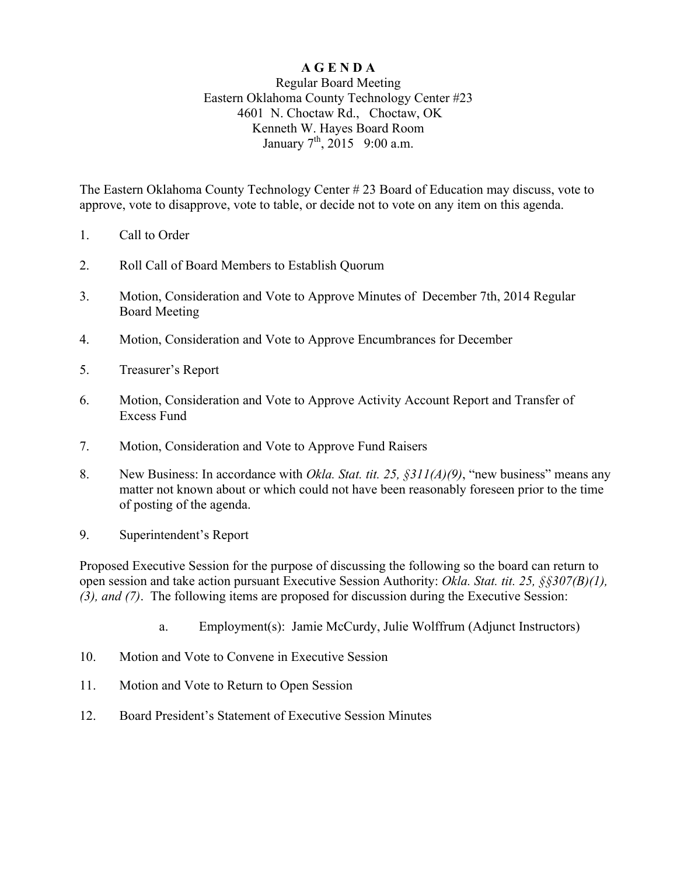## **A G E N D A**

## Regular Board Meeting Eastern Oklahoma County Technology Center #23 4601 N. Choctaw Rd., Choctaw, OK Kenneth W. Hayes Board Room January  $7^{th}$ , 2015 9:00 a.m.

The Eastern Oklahoma County Technology Center # 23 Board of Education may discuss, vote to approve, vote to disapprove, vote to table, or decide not to vote on any item on this agenda.

- 1. Call to Order
- 2. Roll Call of Board Members to Establish Quorum
- 3. Motion, Consideration and Vote to Approve Minutes of December 7th, 2014 Regular Board Meeting
- 4. Motion, Consideration and Vote to Approve Encumbrances for December
- 5. Treasurer's Report
- 6. Motion, Consideration and Vote to Approve Activity Account Report and Transfer of Excess Fund
- 7. Motion, Consideration and Vote to Approve Fund Raisers
- 8. New Business: In accordance with *Okla. Stat. tit. 25, §311(A)(9)*, "new business" means any matter not known about or which could not have been reasonably foreseen prior to the time of posting of the agenda.
- 9. Superintendent's Report

Proposed Executive Session for the purpose of discussing the following so the board can return to open session and take action pursuant Executive Session Authority: *Okla. Stat. tit. 25, §§307(B)(1), (3), and (7)*. The following items are proposed for discussion during the Executive Session:

- a. Employment(s): Jamie McCurdy, Julie Wolffrum (Adjunct Instructors)
- 10. Motion and Vote to Convene in Executive Session
- 11. Motion and Vote to Return to Open Session
- 12. Board President's Statement of Executive Session Minutes